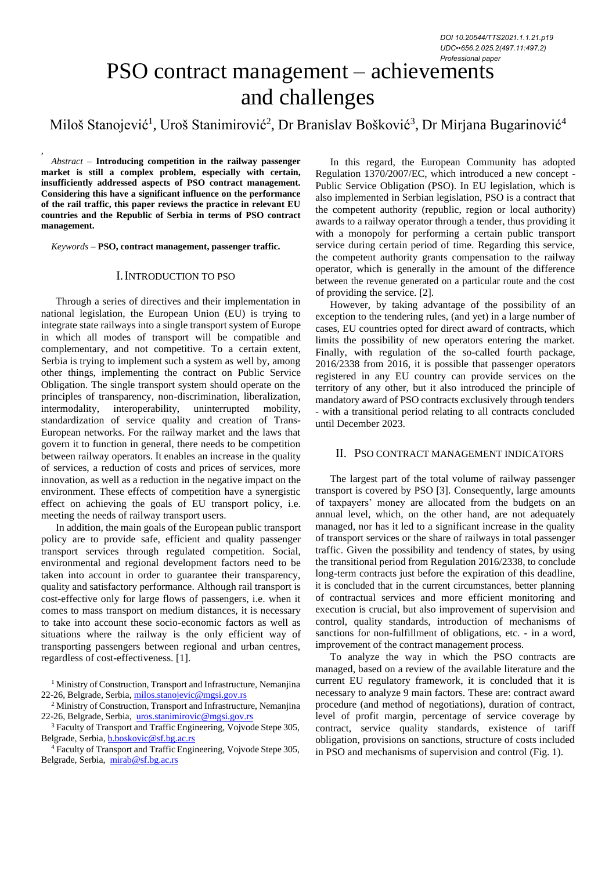# PSO contract management – achievements and challenges

Miloš Stanojević<sup>1</sup>, Uroš Stanimirović<sup>2</sup>, Dr Branislav Bošković<sup>3</sup>, Dr Mirjana Bugarinović<sup>4</sup>

*, Abstract –* **Introducing competition in the railway passenger market is still a complex problem, especially with certain, insufficiently addressed aspects of PSO contract management. Considering this have a significant influence on the performance of the rail traffic, this paper reviews the practice in relevant EU countries and the Republic of Serbia in terms of PSO contract management.**

*Keywords –* **PSO, contract management, passenger traffic.**

# I.INTRODUCTION TO PSO

Through a series of directives and their implementation in national legislation, the European Union (EU) is trying to integrate state railways into a single transport system of Europe in which all modes of transport will be compatible and complementary, and not competitive. To a certain extent, Serbia is trying to implement such a system as well by, among other things, implementing the contract on Public Service Obligation. The single transport system should operate on the principles of transparency, non-discrimination, liberalization, intermodality, interoperability, uninterrupted mobility, standardization of service quality and creation of Trans-European networks. For the railway market and the laws that govern it to function in general, there needs to be competition between railway operators. It enables an increase in the quality of services, a reduction of costs and prices of services, more innovation, as well as a reduction in the negative impact on the environment. These effects of competition have a synergistic effect on achieving the goals of EU transport policy, i.e. meeting the needs of railway transport users.

In addition, the main goals of the European public transport policy are to provide safe, efficient and quality passenger transport services through regulated competition. Social, environmental and regional development factors need to be taken into account in order to guarantee their transparency, quality and satisfactory performance. Although rail transport is cost-effective only for large flows of passengers, i.e. when it comes to mass transport on medium distances, it is necessary to take into account these socio-economic factors as well as situations where the railway is the only efficient way of transporting passengers between regional and urban centres, regardless of cost-effectiveness. [1].

<sup>1</sup> Ministry of Construction, Transport and Infrastructure, Nemanjina 22-26, Belgrade, Serbia, [milos.stanojevic@mgsi.gov.rs](mailto:milos.stanojevic@mgsi.gov.rs)

<sup>2</sup> Ministry of Construction, Transport and Infrastructure, Nemanjina 22-26, Belgrade, Serbia, [uros.stanimirovic@mgsi.gov.rs](mailto:uros.stanimirovic@mgsi.gov.rs)

<sup>3</sup> Faculty of Transport and Traffic Engineering, Vojvode Stepe 305, Belgrade, Serbia, **[b.boskovic@sf.bg.ac.rs](mailto:b.boskovic@sf.bg.ac.rs)** 

<sup>4</sup> Faculty of Transport and Traffic Engineering, Vojvode Stepe 305, Belgrade, Serbia, [mirab@sf.bg.ac.rs](mailto:mirab@sf.bg.ac.rs)

In this regard, the European Community has adopted Regulation 1370/2007/EC, which introduced a new concept - Public Service Obligation (PSO). In EU legislation, which is also implemented in Serbian legislation, PSO is a contract that the competent authority (republic, region or local authority) awards to a railway operator through a tender, thus providing it with a monopoly for performing a certain public transport service during certain period of time. Regarding this service, the competent authority grants compensation to the railway operator, which is generally in the amount of the difference between the revenue generated on a particular route and the cost of providing the service. [2].

However, by taking advantage of the possibility of an exception to the tendering rules, (and yet) in a large number of cases, EU countries opted for direct award of contracts, which limits the possibility of new operators entering the market. Finally, with regulation of the so-called fourth package, 2016/2338 from 2016, it is possible that passenger operators registered in any EU country can provide services on the territory of any other, but it also introduced the principle of mandatory award of PSO contracts exclusively through tenders - with a transitional period relating to all contracts concluded until December 2023.

# II. PSO CONTRACT MANAGEMENT INDICATORS

The largest part of the total volume of railway passenger transport is covered by PSO [3]. Consequently, large amounts of taxpayers' money are allocated from the budgets on an annual level, which, on the other hand, are not adequately managed, nor has it led to a significant increase in the quality of transport services or the share of railways in total passenger traffic. Given the possibility and tendency of states, by using the transitional period from Regulation 2016/2338, to conclude long-term contracts just before the expiration of this deadline, it is concluded that in the current circumstances, better planning of contractual services and more efficient monitoring and execution is crucial, but also improvement of supervision and control, quality standards, introduction of mechanisms of sanctions for non-fulfillment of obligations, etc. - in a word, improvement of the contract management process.

To analyze the way in which the PSO contracts are managed, based on a review of the available literature and the current EU regulatory framework, it is concluded that it is necessary to analyze 9 main factors. These are: contract award procedure (and method of negotiations), duration of contract, level of profit margin, percentage of service coverage by contract, service quality standards, existence of tariff obligation, provisions on sanctions, structure of costs included in PSO and mechanisms of supervision and control (Fig. 1).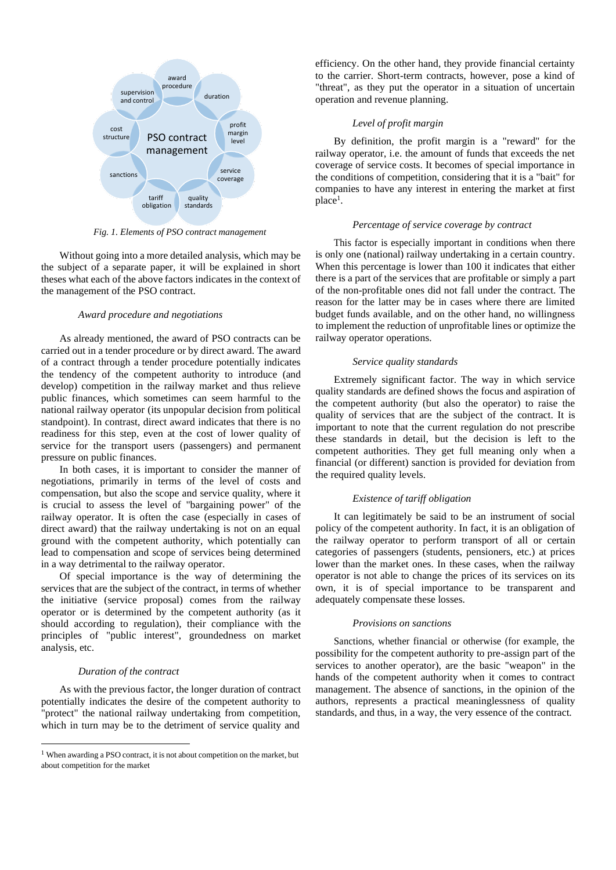

*Fig. 1. Elements of PSO contract management*

Without going into a more detailed analysis, which may be the subject of a separate paper, it will be explained in short theses what each of the above factors indicates in the context of the management of the PSO contract.

## *Award procedure and negotiations*

As already mentioned, the award of PSO contracts can be carried out in a tender procedure or by direct award. The award of a contract through a tender procedure potentially indicates the tendency of the competent authority to introduce (and develop) competition in the railway market and thus relieve public finances, which sometimes can seem harmful to the national railway operator (its unpopular decision from political standpoint). In contrast, direct award indicates that there is no readiness for this step, even at the cost of lower quality of service for the transport users (passengers) and permanent pressure on public finances.

In both cases, it is important to consider the manner of negotiations, primarily in terms of the level of costs and compensation, but also the scope and service quality, where it is crucial to assess the level of "bargaining power" of the railway operator. It is often the case (especially in cases of direct award) that the railway undertaking is not on an equal ground with the competent authority, which potentially can lead to compensation and scope of services being determined in a way detrimental to the railway operator.

Of special importance is the way of determining the services that are the subject of the contract, in terms of whether the initiative (service proposal) comes from the railway operator or is determined by the competent authority (as it should according to regulation), their compliance with the principles of "public interest", groundedness on market analysis, etc.

## *Duration of the contract*

As with the previous factor, the longer duration of contract potentially indicates the desire of the competent authority to "protect" the national railway undertaking from competition, which in turn may be to the detriment of service quality and

efficiency. On the other hand, they provide financial certainty to the carrier. Short-term contracts, however, pose a kind of "threat", as they put the operator in a situation of uncertain operation and revenue planning.

## *Level of profit margin*

By definition, the profit margin is a "reward" for the railway operator, i.e. the amount of funds that exceeds the net coverage of service costs. It becomes of special importance in the conditions of competition, considering that it is a "bait" for companies to have any interest in entering the market at first place<sup>1</sup>.

## *Percentage of service coverage by contract*

This factor is especially important in conditions when there is only one (national) railway undertaking in a certain country. When this percentage is lower than 100 it indicates that either there is a part of the services that are profitable or simply a part of the non-profitable ones did not fall under the contract. The reason for the latter may be in cases where there are limited budget funds available, and on the other hand, no willingness to implement the reduction of unprofitable lines or optimize the railway operator operations.

#### *Service quality standards*

Extremely significant factor. The way in which service quality standards are defined shows the focus and aspiration of the competent authority (but also the operator) to raise the quality of services that are the subject of the contract. It is important to note that the current regulation do not prescribe these standards in detail, but the decision is left to the competent authorities. They get full meaning only when a financial (or different) sanction is provided for deviation from the required quality levels.

### *Existence of tariff obligation*

It can legitimately be said to be an instrument of social policy of the competent authority. In fact, it is an obligation of the railway operator to perform transport of all or certain categories of passengers (students, pensioners, etc.) at prices lower than the market ones. In these cases, when the railway operator is not able to change the prices of its services on its own, it is of special importance to be transparent and adequately compensate these losses.

## *Provisions on sanctions*

Sanctions, whether financial or otherwise (for example, the possibility for the competent authority to pre-assign part of the services to another operator), are the basic "weapon" in the hands of the competent authority when it comes to contract management. The absence of sanctions, in the opinion of the authors, represents a practical meaninglessness of quality standards, and thus, in a way, the very essence of the contract.

<sup>&</sup>lt;sup>1</sup> When awarding a PSO contract, it is not about competition on the market, but about competition for the market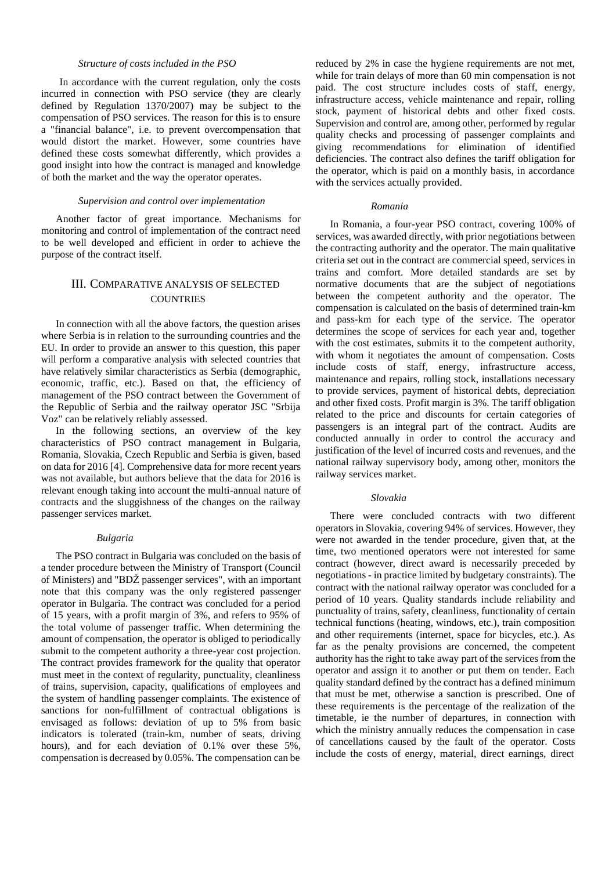# *Structure of costs included in the PSO*

In accordance with the current regulation, only the costs incurred in connection with PSO service (they are clearly defined by Regulation 1370/2007) may be subject to the compensation of PSO services. The reason for this is to ensure a "financial balance", i.e. to prevent overcompensation that would distort the market. However, some countries have defined these costs somewhat differently, which provides a good insight into how the contract is managed and knowledge of both the market and the way the operator operates.

## *Supervision and control over implementation*

Another factor of great importance. Mechanisms for monitoring and control of implementation of the contract need to be well developed and efficient in order to achieve the purpose of the contract itself.

# III. COMPARATIVE ANALYSIS OF SELECTED **COUNTRIES**

In connection with all the above factors, the question arises where Serbia is in relation to the surrounding countries and the EU. In order to provide an answer to this question, this paper will perform a comparative analysis with selected countries that have relatively similar characteristics as Serbia (demographic, economic, traffic, etc.). Based on that, the efficiency of management of the PSO contract between the Government of the Republic of Serbia and the railway operator JSC "Srbija Voz" can be relatively reliably assessed.

In the following sections, an overview of the key characteristics of PSO contract management in Bulgaria, Romania, Slovakia, Czech Republic and Serbia is given, based on data for 2016 [4]. Comprehensive data for more recent years was not available, but authors believe that the data for 2016 is relevant enough taking into account the multi-annual nature of contracts and the sluggishness of the changes on the railway passenger services market.

## *Bulgaria*

The PSO contract in Bulgaria was concluded on the basis of a tender procedure between the Ministry of Transport (Council of Ministers) and "BDŽ passenger services", with an important note that this company was the only registered passenger operator in Bulgaria. The contract was concluded for a period of 15 years, with a profit margin of 3%, and refers to 95% of the total volume of passenger traffic. When determining the amount of compensation, the operator is obliged to periodically submit to the competent authority a three-year cost projection. The contract provides framework for the quality that operator must meet in the context of regularity, punctuality, cleanliness of trains, supervision, capacity, qualifications of employees and the system of handling passenger complaints. The existence of sanctions for non-fulfillment of contractual obligations is envisaged as follows: deviation of up to 5% from basic indicators is tolerated (train-km, number of seats, driving hours), and for each deviation of 0.1% over these 5%, compensation is decreased by 0.05%. The compensation can be

reduced by 2% in case the hygiene requirements are not met, while for train delays of more than 60 min compensation is not paid. The cost structure includes costs of staff, energy, infrastructure access, vehicle maintenance and repair, rolling stock, payment of historical debts and other fixed costs. Supervision and control are, among other, performed by regular quality checks and processing of passenger complaints and giving recommendations for elimination of identified deficiencies. The contract also defines the tariff obligation for the operator, which is paid on a monthly basis, in accordance with the services actually provided.

## *Romania*

In Romania, a four-year PSO contract, covering 100% of services, was awarded directly, with prior negotiations between the contracting authority and the operator. The main qualitative criteria set out in the contract are commercial speed, services in trains and comfort. More detailed standards are set by normative documents that are the subject of negotiations between the competent authority and the operator. The compensation is calculated on the basis of determined train-km and pass-km for each type of the service. The operator determines the scope of services for each year and, together with the cost estimates, submits it to the competent authority, with whom it negotiates the amount of compensation. Costs include costs of staff, energy, infrastructure access, maintenance and repairs, rolling stock, installations necessary to provide services, payment of historical debts, depreciation and other fixed costs. Profit margin is 3%. The tariff obligation related to the price and discounts for certain categories of passengers is an integral part of the contract. Audits are conducted annually in order to control the accuracy and justification of the level of incurred costs and revenues, and the national railway supervisory body, among other, monitors the railway services market.

#### *Slovakia*

There were concluded contracts with two different operators in Slovakia, covering 94% of services. However, they were not awarded in the tender procedure, given that, at the time, two mentioned operators were not interested for same contract (however, direct award is necessarily preceded by negotiations - in practice limited by budgetary constraints). The contract with the national railway operator was concluded for a period of 10 years. Quality standards include reliability and punctuality of trains, safety, cleanliness, functionality of certain technical functions (heating, windows, etc.), train composition and other requirements (internet, space for bicycles, etc.). As far as the penalty provisions are concerned, the competent authority has the right to take away part of the services from the operator and assign it to another or put them on tender. Each quality standard defined by the contract has a defined minimum that must be met, otherwise a sanction is prescribed. One of these requirements is the percentage of the realization of the timetable, ie the number of departures, in connection with which the ministry annually reduces the compensation in case of cancellations caused by the fault of the operator. Costs include the costs of energy, material, direct earnings, direct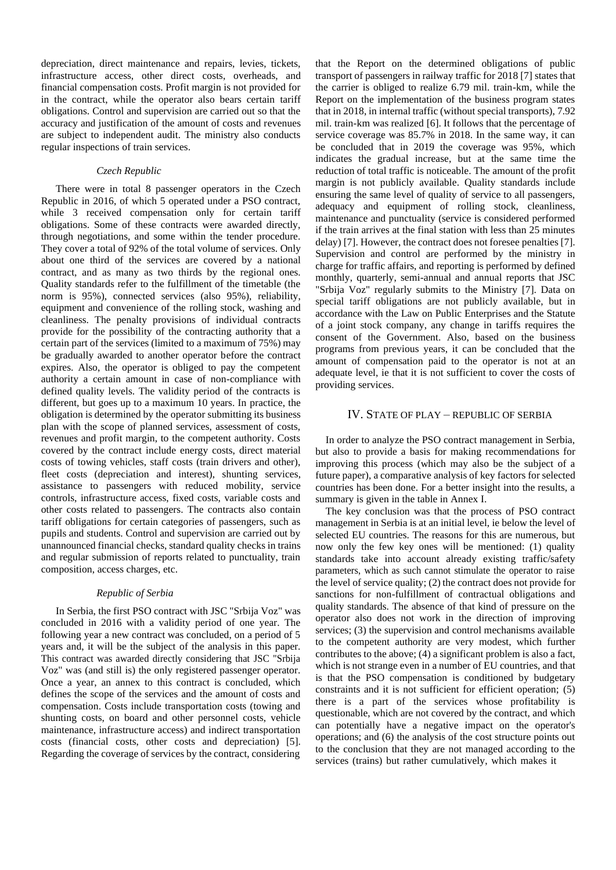depreciation, direct maintenance and repairs, levies, tickets, infrastructure access, other direct costs, overheads, and financial compensation costs. Profit margin is not provided for in the contract, while the operator also bears certain tariff obligations. Control and supervision are carried out so that the accuracy and justification of the amount of costs and revenues are subject to independent audit. The ministry also conducts regular inspections of train services.

## *Czech Republic*

There were in total 8 passenger operators in the Czech Republic in 2016, of which 5 operated under a PSO contract, while 3 received compensation only for certain tariff obligations. Some of these contracts were awarded directly, through negotiations, and some within the tender procedure. They cover a total of 92% of the total volume of services. Only about one third of the services are covered by a national contract, and as many as two thirds by the regional ones. Quality standards refer to the fulfillment of the timetable (the norm is 95%), connected services (also 95%), reliability, equipment and convenience of the rolling stock, washing and cleanliness. The penalty provisions of individual contracts provide for the possibility of the contracting authority that a certain part of the services (limited to a maximum of 75%) may be gradually awarded to another operator before the contract expires. Also, the operator is obliged to pay the competent authority a certain amount in case of non-compliance with defined quality levels. The validity period of the contracts is different, but goes up to a maximum 10 years. In practice, the obligation is determined by the operator submitting its business plan with the scope of planned services, assessment of costs, revenues and profit margin, to the competent authority. Costs covered by the contract include energy costs, direct material costs of towing vehicles, staff costs (train drivers and other), fleet costs (depreciation and interest), shunting services, assistance to passengers with reduced mobility, service controls, infrastructure access, fixed costs, variable costs and other costs related to passengers. The contracts also contain tariff obligations for certain categories of passengers, such as pupils and students. Control and supervision are carried out by unannounced financial checks, standard quality checks in trains and regular submission of reports related to punctuality, train composition, access charges, etc.

## *Republic of Serbia*

In Serbia, the first PSO contract with JSC "Srbija Voz" was concluded in 2016 with a validity period of one year. The following year a new contract was concluded, on a period of 5 years and, it will be the subject of the analysis in this paper. This contract was awarded directly considering that JSC "Srbija Voz" was (and still is) the only registered passenger operator. Once a year, an annex to this contract is concluded, which defines the scope of the services and the amount of costs and compensation. Costs include transportation costs (towing and shunting costs, on board and other personnel costs, vehicle maintenance, infrastructure access) and indirect transportation costs (financial costs, other costs and depreciation) [5]. Regarding the coverage of services by the contract, considering

that the Report on the determined obligations of public transport of passengers in railway traffic for 2018 [7] states that the carrier is obliged to realize 6.79 mil. train-km, while the Report on the implementation of the business program states that in 2018, in internal traffic (without special transports), 7.92 mil. train-km was realized [6]. It follows that the percentage of service coverage was 85.7% in 2018. In the same way, it can be concluded that in 2019 the coverage was 95%, which indicates the gradual increase, but at the same time the reduction of total traffic is noticeable. The amount of the profit margin is not publicly available. Quality standards include ensuring the same level of quality of service to all passengers, adequacy and equipment of rolling stock, cleanliness, maintenance and punctuality (service is considered performed if the train arrives at the final station with less than 25 minutes delay) [7]. However, the contract does not foresee penalties [7]. Supervision and control are performed by the ministry in charge for traffic affairs, and reporting is performed by defined monthly, quarterly, semi-annual and annual reports that JSC "Srbija Voz" regularly submits to the Ministry [7]. Data on special tariff obligations are not publicly available, but in accordance with the Law on Public Enterprises and the Statute of a joint stock company, any change in tariffs requires the consent of the Government. Also, based on the business programs from previous years, it can be concluded that the amount of compensation paid to the operator is not at an adequate level, ie that it is not sufficient to cover the costs of providing services.

## IV. STATE OF PLAY – REPUBLIC OF SERBIA

In order to analyze the PSO contract management in Serbia, but also to provide a basis for making recommendations for improving this process (which may also be the subject of a future paper), a comparative analysis of key factors for selected countries has been done. For a better insight into the results, a summary is given in the table in Annex I.

The key conclusion was that the process of PSO contract management in Serbia is at an initial level, ie below the level of selected EU countries. The reasons for this are numerous, but now only the few key ones will be mentioned: (1) quality standards take into account already existing traffic/safety parameters, which as such cannot stimulate the operator to raise the level of service quality; (2) the contract does not provide for sanctions for non-fulfillment of contractual obligations and quality standards. The absence of that kind of pressure on the operator also does not work in the direction of improving services; (3) the supervision and control mechanisms available to the competent authority are very modest, which further contributes to the above; (4) a significant problem is also a fact, which is not strange even in a number of EU countries, and that is that the PSO compensation is conditioned by budgetary constraints and it is not sufficient for efficient operation; (5) there is a part of the services whose profitability is questionable, which are not covered by the contract, and which can potentially have a negative impact on the operator's operations; and (6) the analysis of the cost structure points out to the conclusion that they are not managed according to the services (trains) but rather cumulatively, which makes it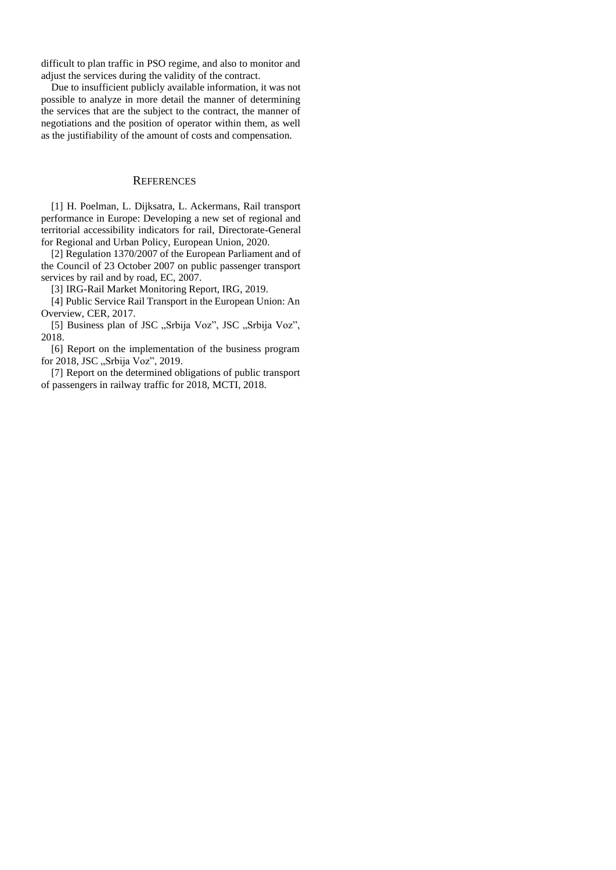difficult to plan traffic in PSO regime, and also to monitor and adjust the services during the validity of the contract.

Due to insufficient publicly available information, it was not possible to analyze in more detail the manner of determining the services that are the subject to the contract, the manner of negotiations and the position of operator within them, as well as the justifiability of the amount of costs and compensation.

# **REFERENCES**

[1] H. Poelman, L. Dijksatra, L. Ackermans, Rail transport performance in Europe: Developing a new set of regional and territorial accessibility indicators for rail, Directorate-General for Regional and Urban Policy, European Union, 2020.

[2] Regulation 1370/2007 of the European Parliament and of the Council of 23 October 2007 on public passenger transport services by rail and by road, EC, 2007.

[3] IRG-Rail Market Monitoring Report, IRG, 2019.

[4] Public Service Rail Transport in the European Union: An Overview, CER, 2017.

[5] Business plan of JSC "Srbija Voz", JSC "Srbija Voz", 2018.

[6] Report on the implementation of the business program for 2018, JSC "Srbija Voz", 2019.

[7] Report on the determined obligations of public transport of passengers in railway traffic for 2018, MCTI, 2018.